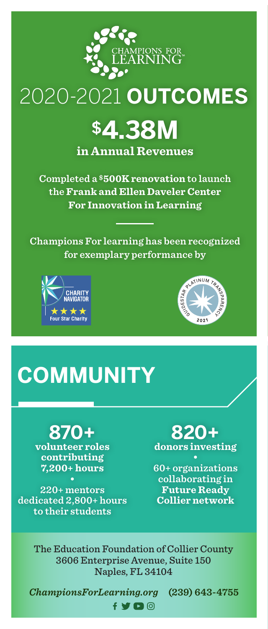

### 2020-2021 **OUTCOMES**

# **\$4.38M**

**in Annual Revenues** 

**Completed a \$500K renovation to launch the Frank and Ellen Daveler Center For Innovation in Learning**

**Champions For learning has been recognized for exemplary performance by**





## **COMMUNITY**

**870+**

**volunteer roles contributing 7,200+ hours**

**220+ mentors dedicated 2,800+ hours to their students**

#### **820+ donors investing**

**60+ organizations collaborating in Future Ready Collier network**

The Education Foundation of Collier County 3606 Enterprise Avenue, Suite 150 Naples, FL 34104

 $f \vee \blacksquare$ 

*ChampionsForLearning.org* **(239) 643-4755**